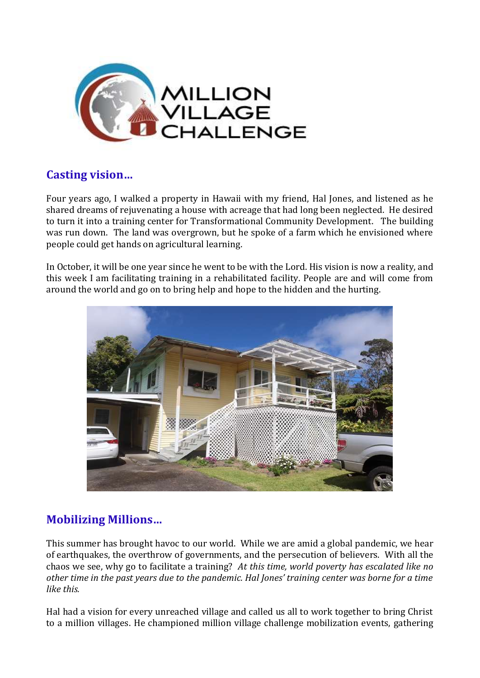

## **Casting vision…**

Four years ago, I walked a property in Hawaii with my friend, Hal Jones, and listened as he shared dreams of rejuvenating a house with acreage that had long been neglected. He desired to turn it into a training center for Transformational Community Development. The building was run down. The land was overgrown, but he spoke of a farm which he envisioned where people could get hands on agricultural learning.

In October, it will be one year since he went to be with the Lord. His vision is now a reality, and this week I am facilitating training in a rehabilitated facility. People are and will come from around the world and go on to bring help and hope to the hidden and the hurting.



## **Mobilizing Millions…**

This summer has brought havoc to our world. While we are amid a global pandemic, we hear of earthquakes, the overthrow of governments, and the persecution of believers. With all the chaos we see, why go to facilitate a training? *At this time, world poverty has escalated like no other time in the past years due to the pandemic. Hal Jones' training center was borne for a time like this.* 

Hal had a vision for every unreached village and called us all to work together to bring Christ to a million villages. He championed million village challenge mobilization events, gathering